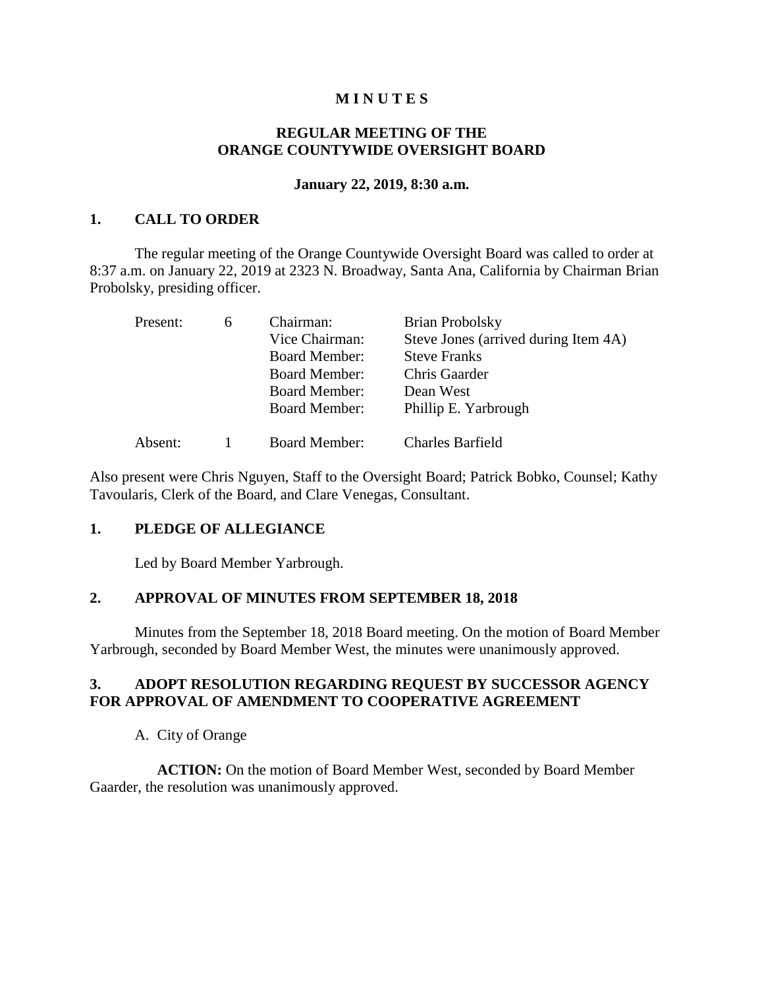### **M I N U T E S**

## **REGULAR MEETING OF THE ORANGE COUNTYWIDE OVERSIGHT BOARD**

#### **January 22, 2019, 8:30 a.m.**

### **1. CALL TO ORDER**

The regular meeting of the Orange Countywide Oversight Board was called to order at 8:37 a.m. on January 22, 2019 at 2323 N. Broadway, Santa Ana, California by Chairman Brian Probolsky, presiding officer.

| Present: | 6 | Chairman:            | <b>Brian Probolsky</b>               |
|----------|---|----------------------|--------------------------------------|
|          |   | Vice Chairman:       | Steve Jones (arrived during Item 4A) |
|          |   | <b>Board Member:</b> | <b>Steve Franks</b>                  |
|          |   | <b>Board Member:</b> | Chris Gaarder                        |
|          |   | <b>Board Member:</b> | Dean West                            |
|          |   | <b>Board Member:</b> | Phillip E. Yarbrough                 |
| Absent:  |   | <b>Board Member:</b> | <b>Charles Barfield</b>              |

Also present were Chris Nguyen, Staff to the Oversight Board; Patrick Bobko, Counsel; Kathy Tavoularis, Clerk of the Board, and Clare Venegas, Consultant.

#### **1. PLEDGE OF ALLEGIANCE**

Led by Board Member Yarbrough.

#### **2. APPROVAL OF MINUTES FROM SEPTEMBER 18, 2018**

Minutes from the September 18, 2018 Board meeting. On the motion of Board Member Yarbrough, seconded by Board Member West, the minutes were unanimously approved.

## **3. ADOPT RESOLUTION REGARDING REQUEST BY SUCCESSOR AGENCY FOR APPROVAL OF AMENDMENT TO COOPERATIVE AGREEMENT**

A. City of Orange

**ACTION:** On the motion of Board Member West, seconded by Board Member Gaarder, the resolution was unanimously approved.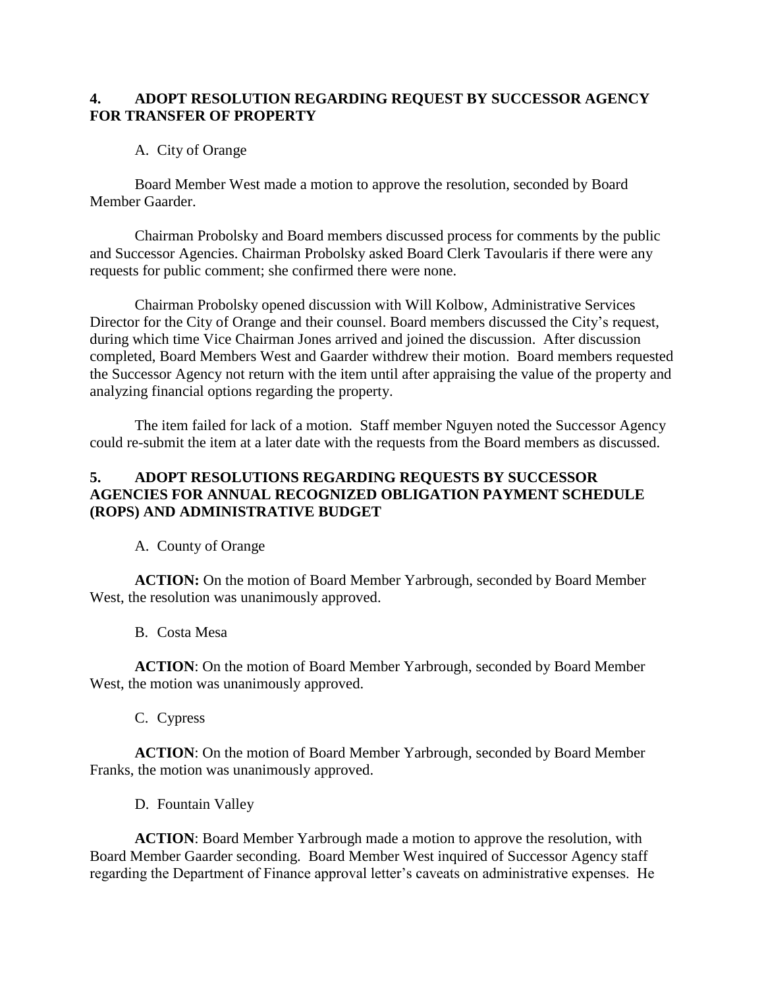## **4. ADOPT RESOLUTION REGARDING REQUEST BY SUCCESSOR AGENCY FOR TRANSFER OF PROPERTY**

## A. City of Orange

Board Member West made a motion to approve the resolution, seconded by Board Member Gaarder.

Chairman Probolsky and Board members discussed process for comments by the public and Successor Agencies. Chairman Probolsky asked Board Clerk Tavoularis if there were any requests for public comment; she confirmed there were none.

Chairman Probolsky opened discussion with Will Kolbow, Administrative Services Director for the City of Orange and their counsel. Board members discussed the City's request, during which time Vice Chairman Jones arrived and joined the discussion. After discussion completed, Board Members West and Gaarder withdrew their motion. Board members requested the Successor Agency not return with the item until after appraising the value of the property and analyzing financial options regarding the property.

The item failed for lack of a motion. Staff member Nguyen noted the Successor Agency could re-submit the item at a later date with the requests from the Board members as discussed.

## **5. ADOPT RESOLUTIONS REGARDING REQUESTS BY SUCCESSOR AGENCIES FOR ANNUAL RECOGNIZED OBLIGATION PAYMENT SCHEDULE (ROPS) AND ADMINISTRATIVE BUDGET**

A. County of Orange

**ACTION:** On the motion of Board Member Yarbrough, seconded by Board Member West, the resolution was unanimously approved.

B. Costa Mesa

**ACTION**: On the motion of Board Member Yarbrough, seconded by Board Member West, the motion was unanimously approved.

C. Cypress

**ACTION**: On the motion of Board Member Yarbrough, seconded by Board Member Franks, the motion was unanimously approved.

D. Fountain Valley

**ACTION**: Board Member Yarbrough made a motion to approve the resolution, with Board Member Gaarder seconding. Board Member West inquired of Successor Agency staff regarding the Department of Finance approval letter's caveats on administrative expenses. He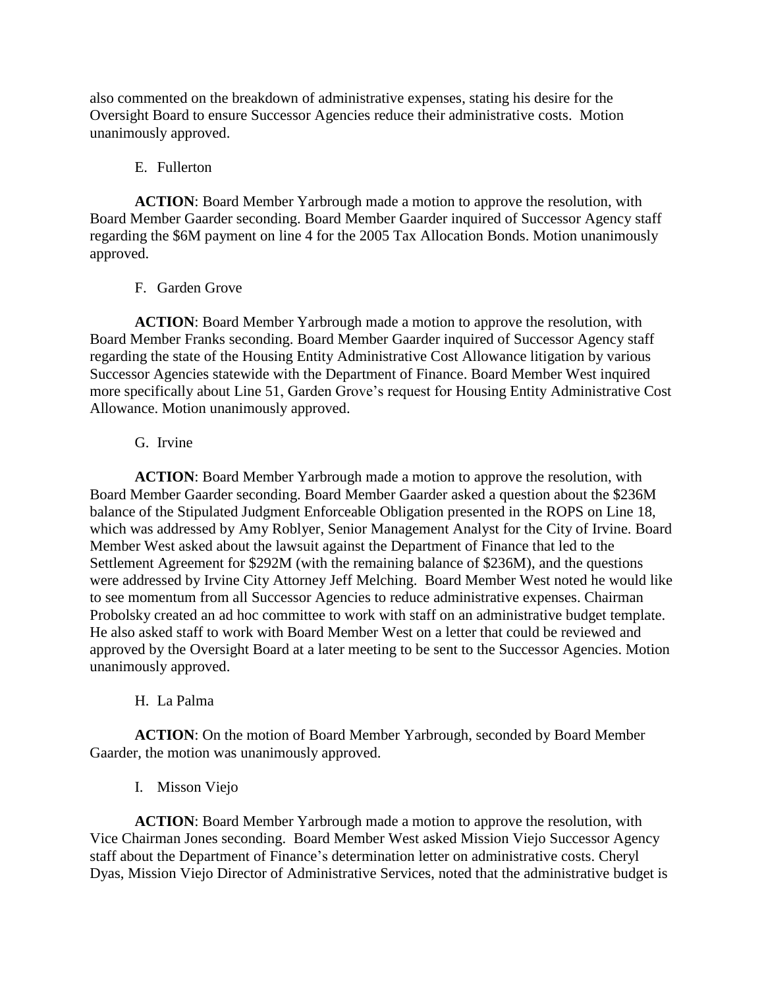also commented on the breakdown of administrative expenses, stating his desire for the Oversight Board to ensure Successor Agencies reduce their administrative costs. Motion unanimously approved.

#### E. Fullerton

**ACTION**: Board Member Yarbrough made a motion to approve the resolution, with Board Member Gaarder seconding. Board Member Gaarder inquired of Successor Agency staff regarding the \$6M payment on line 4 for the 2005 Tax Allocation Bonds. Motion unanimously approved.

## F. Garden Grove

**ACTION**: Board Member Yarbrough made a motion to approve the resolution, with Board Member Franks seconding. Board Member Gaarder inquired of Successor Agency staff regarding the state of the Housing Entity Administrative Cost Allowance litigation by various Successor Agencies statewide with the Department of Finance. Board Member West inquired more specifically about Line 51, Garden Grove's request for Housing Entity Administrative Cost Allowance. Motion unanimously approved.

## G. Irvine

**ACTION**: Board Member Yarbrough made a motion to approve the resolution, with Board Member Gaarder seconding. Board Member Gaarder asked a question about the \$236M balance of the Stipulated Judgment Enforceable Obligation presented in the ROPS on Line 18, which was addressed by Amy Roblyer, Senior Management Analyst for the City of Irvine. Board Member West asked about the lawsuit against the Department of Finance that led to the Settlement Agreement for \$292M (with the remaining balance of \$236M), and the questions were addressed by Irvine City Attorney Jeff Melching. Board Member West noted he would like to see momentum from all Successor Agencies to reduce administrative expenses. Chairman Probolsky created an ad hoc committee to work with staff on an administrative budget template. He also asked staff to work with Board Member West on a letter that could be reviewed and approved by the Oversight Board at a later meeting to be sent to the Successor Agencies. Motion unanimously approved.

# H. La Palma

**ACTION**: On the motion of Board Member Yarbrough, seconded by Board Member Gaarder, the motion was unanimously approved.

# I. Misson Viejo

**ACTION**: Board Member Yarbrough made a motion to approve the resolution, with Vice Chairman Jones seconding. Board Member West asked Mission Viejo Successor Agency staff about the Department of Finance's determination letter on administrative costs. Cheryl Dyas, Mission Viejo Director of Administrative Services, noted that the administrative budget is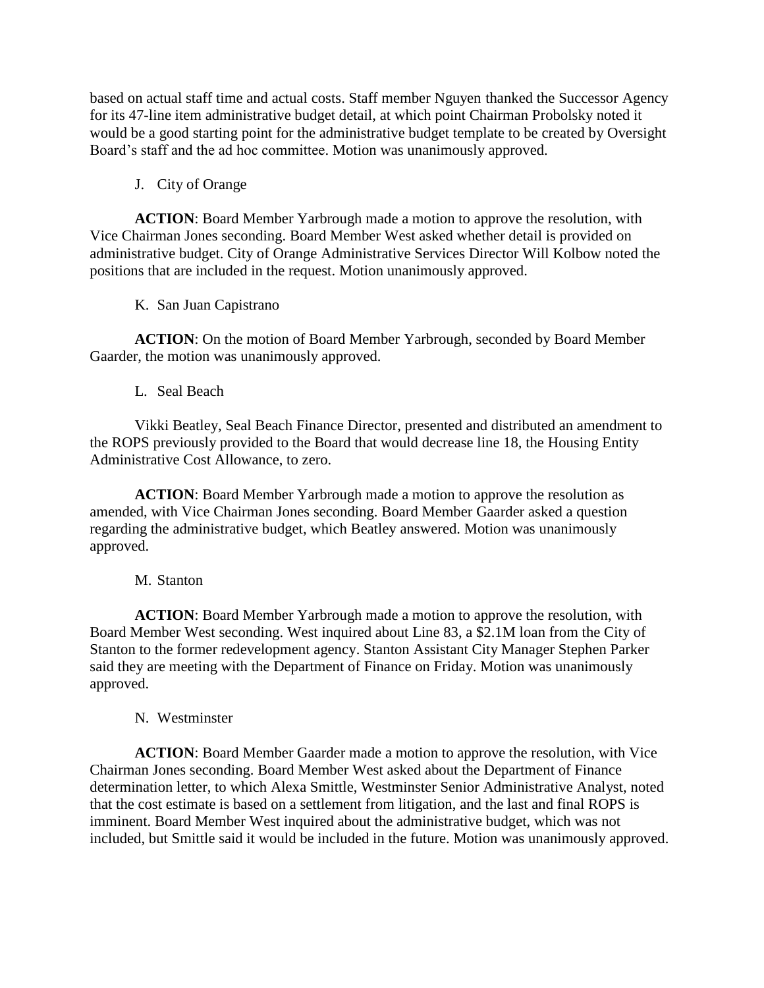based on actual staff time and actual costs. Staff member Nguyen thanked the Successor Agency for its 47-line item administrative budget detail, at which point Chairman Probolsky noted it would be a good starting point for the administrative budget template to be created by Oversight Board's staff and the ad hoc committee. Motion was unanimously approved.

J. City of Orange

**ACTION**: Board Member Yarbrough made a motion to approve the resolution, with Vice Chairman Jones seconding. Board Member West asked whether detail is provided on administrative budget. City of Orange Administrative Services Director Will Kolbow noted the positions that are included in the request. Motion unanimously approved.

K. San Juan Capistrano

**ACTION**: On the motion of Board Member Yarbrough, seconded by Board Member Gaarder, the motion was unanimously approved.

L. Seal Beach

Vikki Beatley, Seal Beach Finance Director, presented and distributed an amendment to the ROPS previously provided to the Board that would decrease line 18, the Housing Entity Administrative Cost Allowance, to zero.

**ACTION**: Board Member Yarbrough made a motion to approve the resolution as amended, with Vice Chairman Jones seconding. Board Member Gaarder asked a question regarding the administrative budget, which Beatley answered. Motion was unanimously approved.

#### M. Stanton

**ACTION**: Board Member Yarbrough made a motion to approve the resolution, with Board Member West seconding. West inquired about Line 83, a \$2.1M loan from the City of Stanton to the former redevelopment agency. Stanton Assistant City Manager Stephen Parker said they are meeting with the Department of Finance on Friday. Motion was unanimously approved.

#### N. Westminster

**ACTION**: Board Member Gaarder made a motion to approve the resolution, with Vice Chairman Jones seconding. Board Member West asked about the Department of Finance determination letter, to which Alexa Smittle, Westminster Senior Administrative Analyst, noted that the cost estimate is based on a settlement from litigation, and the last and final ROPS is imminent. Board Member West inquired about the administrative budget, which was not included, but Smittle said it would be included in the future. Motion was unanimously approved.